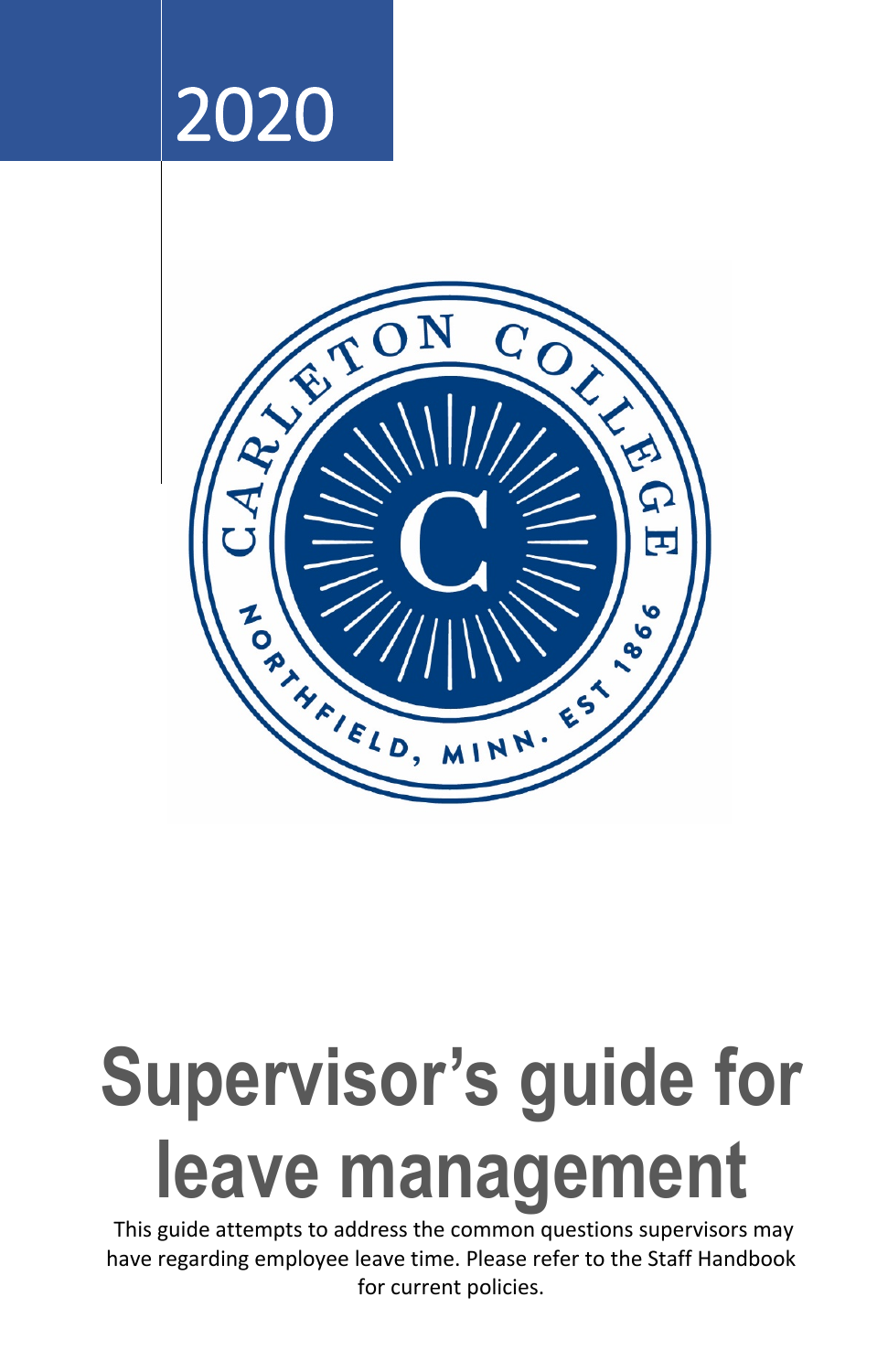



# **Supervisor's guide for leave management**

This guide attempts to address the common questions supervisors may have regarding employee leave time. Please refer to the Staff Handbook for current policies.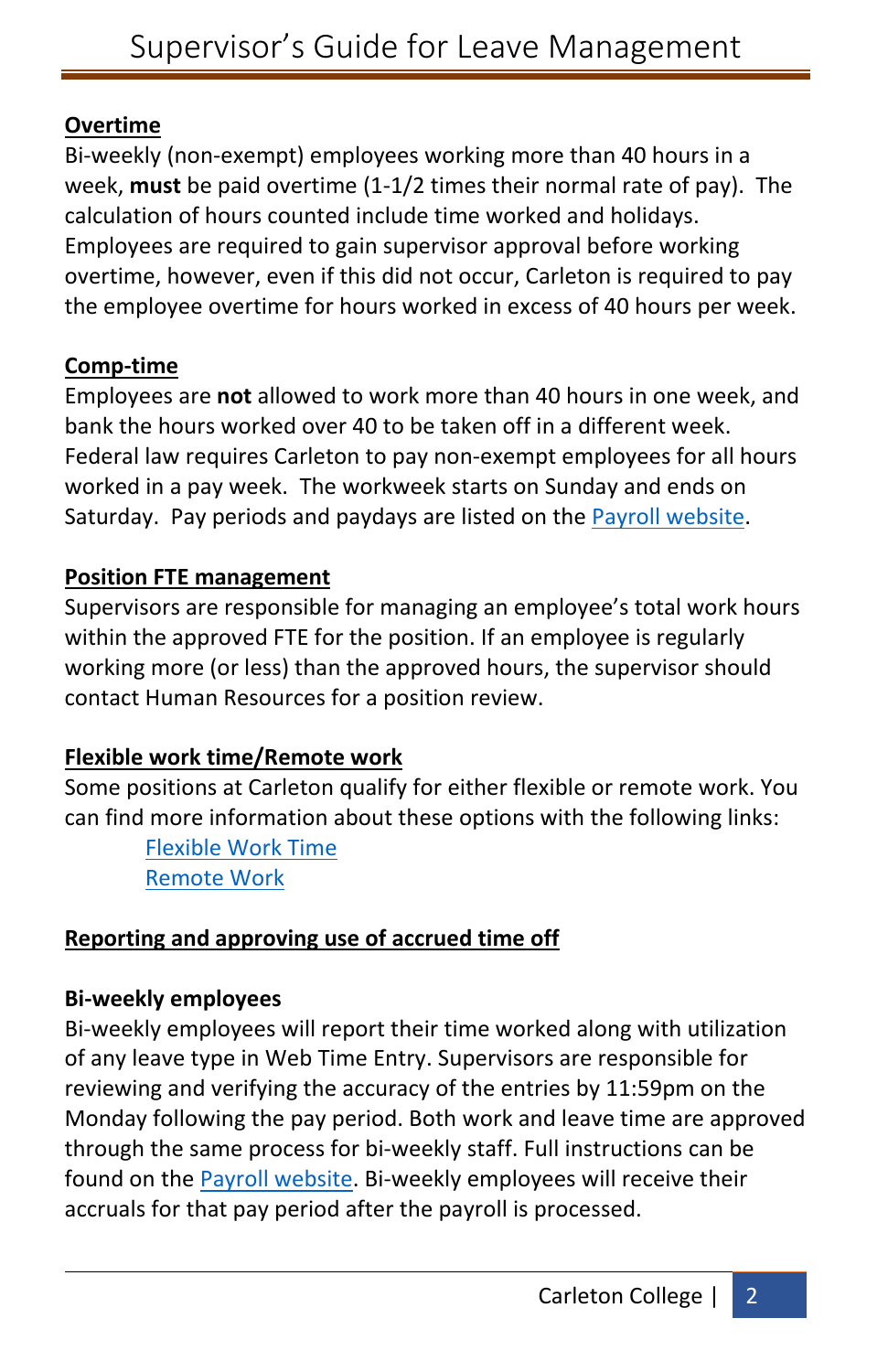## **Overtime**

Bi-weekly (non-exempt) employees working more than 40 hours in a week, **must** be paid overtime (1-1/2 times their normal rate of pay). The calculation of hours counted include time worked and holidays. Employees are required to gain supervisor approval before working overtime, however, even if this did not occur, Carleton is required to pay the employee overtime for hours worked in excess of 40 hours per week.

## **Comp-time**

Employees are **not** allowed to work more than 40 hours in one week, and bank the hours worked over 40 to be taken off in a different week. Federal law requires Carleton to pay non-exempt employees for all hours worked in a pay week. The workweek starts on Sunday and ends on Saturday. Pay periods and paydays are listed on the [Payroll website.](https://apps.carleton.edu/campus/business/payroll/)

## **Position FTE management**

Supervisors are responsible for managing an employee's total work hours within the approved FTE for the position. If an employee is regularly working more (or less) than the approved hours, the supervisor should contact Human Resources for a position review.

## **Flexible work time/Remote work**

Some positions at Carleton qualify for either flexible or remote work. You can find more information about these options with the following links:

> [Flexible Work Time](https://apps.carleton.edu/handbook/employment/?a=staff&policy_id=870263) [Remote Work](https://apps.carleton.edu/handbook/employment/?a=staff&policy_id=870263)

# **Reporting and approving use of accrued time off**

#### **Bi-weekly employees**

Bi-weekly employees will report their time worked along with utilization of any leave type in Web Time Entry. Supervisors are responsible for reviewing and verifying the accuracy of the entries by 11:59pm on the Monday following the pay period. Both work and leave time are approved through the same process for bi-weekly staff. Full instructions can be found on the [Payroll website.](https://apps.carleton.edu/campus/business/payroll/staff-supervisor-info/) Bi-weekly employees will receive their accruals for that pay period after the payroll is processed.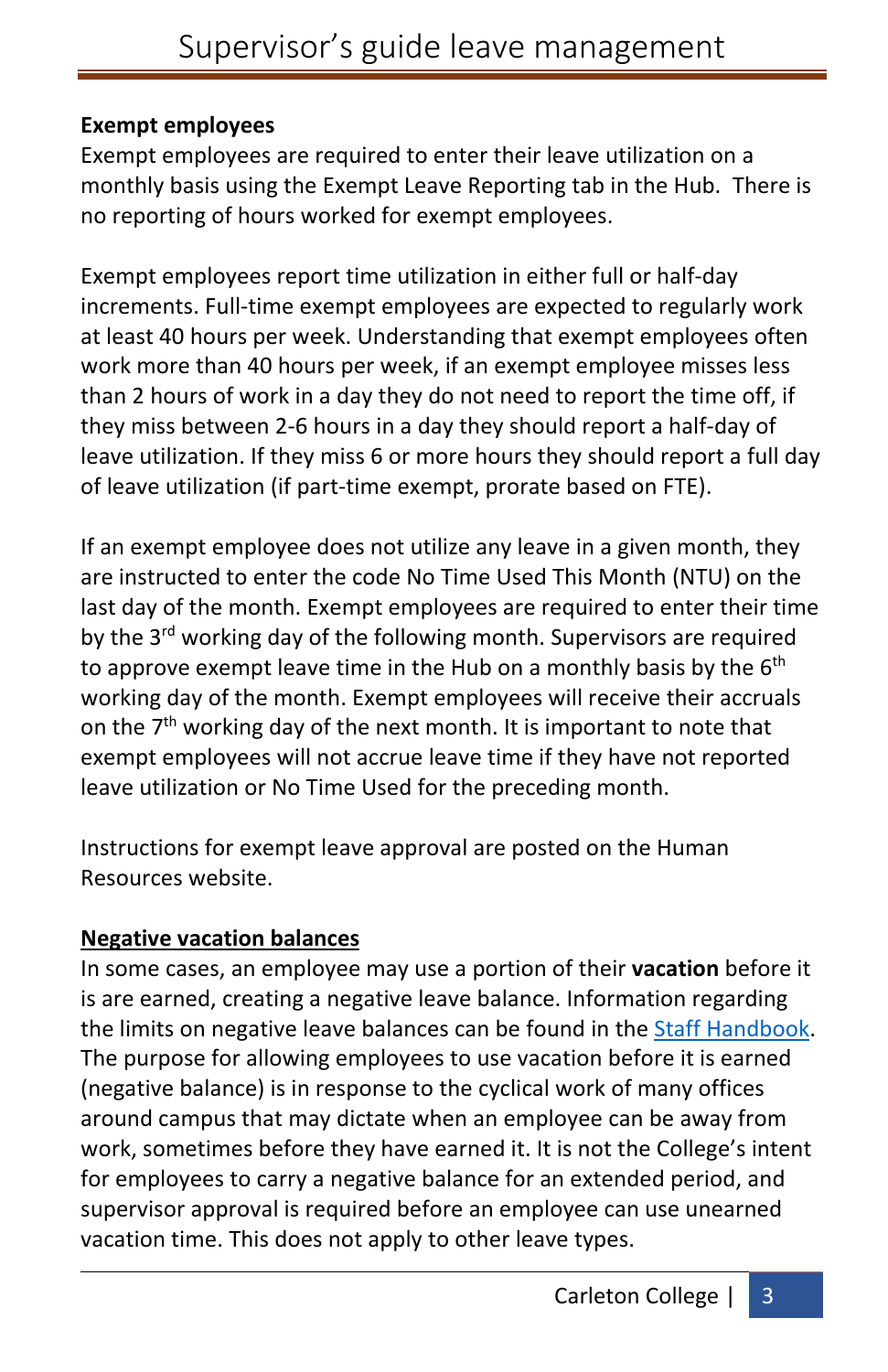#### **Exempt employees**

Exempt employees are required to enter their leave utilization on a monthly basis using the Exempt Leave Reporting tab in the Hub. There is no reporting of hours worked for exempt employees.

Exempt employees report time utilization in either full or half-day increments. Full-time exempt employees are expected to regularly work at least 40 hours per week. Understanding that exempt employees often work more than 40 hours per week, if an exempt employee misses less than 2 hours of work in a day they do not need to report the time off, if they miss between 2-6 hours in a day they should report a half-day of leave utilization. If they miss 6 or more hours they should report a full day of leave utilization (if part-time exempt, prorate based on FTE).

If an exempt employee does not utilize any leave in a given month, they are instructed to enter the code No Time Used This Month (NTU) on the last day of the month. Exempt employees are required to enter their time by the 3<sup>rd</sup> working day of the following month. Supervisors are required to approve exempt leave time in the Hub on a monthly basis by the  $6<sup>th</sup>$ working day of the month. Exempt employees will receive their accruals on the 7<sup>th</sup> working day of the next month. It is important to note that exempt employees will not accrue leave time if they have not reported leave utilization or No Time Used for the preceding month.

Instructions for exempt leave approval are posted on the Human Resources website.

## **Negative vacation balances**

In some cases, an employee may use a portion of their **vacation** before it is are earned, creating a negative leave balance. Information regarding the limits on negative leave balances can be found in the Staff Handbook. The purpose for allowing employees to use vacation before it is earned (negative balance) is in response to the cyclical work of many offices around campus that may dictate when an employee can be away from work, sometimes before they have earned it. It is not the College's intent for employees to carry a negative balance for an extended period, and supervisor approval is required before an employee can use unearned vacation time. This does not apply to other leave types.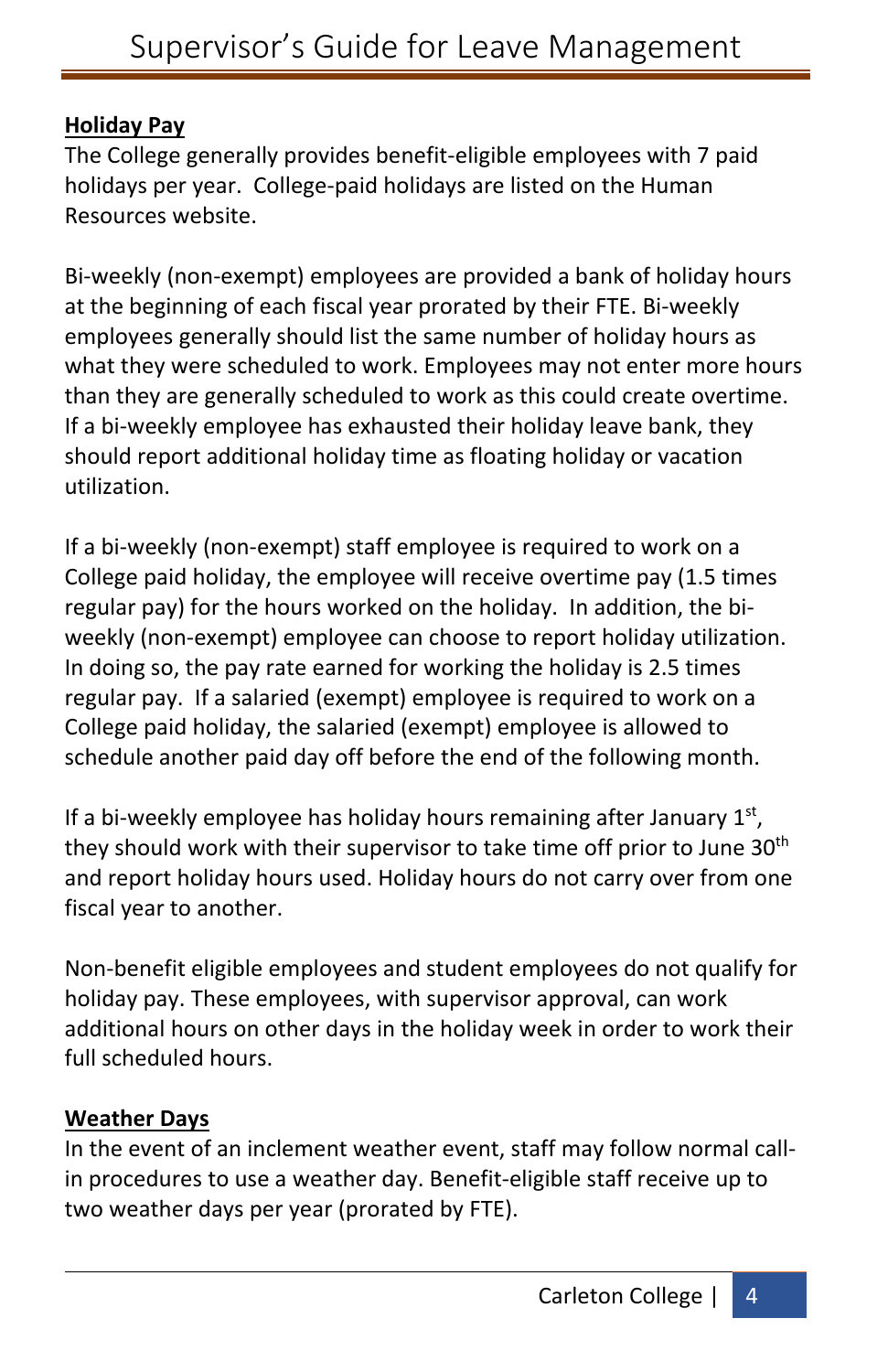## **Holiday Pay**

The College generally provides benefit-eligible employees with 7 paid holidays per year. College-paid holidays are listed on the Human Resources website.

Bi-weekly (non-exempt) employees are provided a bank of holiday hours at the beginning of each fiscal year prorated by their FTE. Bi-weekly employees generally should list the same number of holiday hours as what they were scheduled to work. Employees may not enter more hours than they are generally scheduled to work as this could create overtime. If a bi-weekly employee has exhausted their holiday leave bank, they should report additional holiday time as floating holiday or vacation utilization.

If a bi-weekly (non-exempt) staff employee is required to work on a College paid holiday, the employee will receive overtime pay (1.5 times regular pay) for the hours worked on the holiday. In addition, the biweekly (non-exempt) employee can choose to report holiday utilization. In doing so, the pay rate earned for working the holiday is 2.5 times regular pay. If a salaried (exempt) employee is required to work on a College paid holiday, the salaried (exempt) employee is allowed to schedule another paid day off before the end of the following month.

If a bi-weekly employee has holiday hours remaining after January  $1<sup>st</sup>$ , they should work with their supervisor to take time off prior to June 30<sup>th</sup> and report holiday hours used. Holiday hours do not carry over from one fiscal year to another.

Non-benefit eligible employees and student employees do not qualify for holiday pay. These employees, with supervisor approval, can work additional hours on other days in the holiday week in order to work their full scheduled hours.

## **Weather Days**

In the event of an inclement weather event, staff may follow normal callin procedures to use a weather day. Benefit-eligible staff receive up to two weather days per year (prorated by FTE).